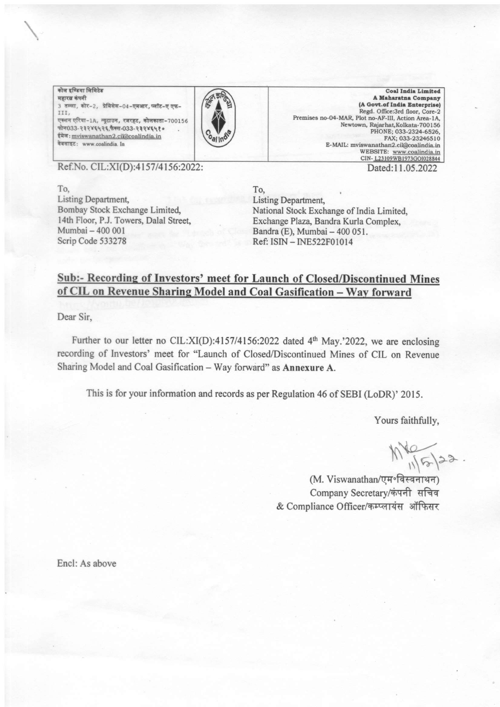.<br>कोल इण्डिया लिमिटेड महारब कंपनी 3 तल्ला, कोर-2, प्रेमिसेस-04-एमआर, प्लॉट-ए एफ-III, एक्शन एरिया-1A, न्यूटाउन, रजरहट, कोलकाता-700156<br>फोन033-२३२४६५२६ फैक्स-033-२३२४६५१० ईमेल: mviswanathan2.cil@coalindia.in वेबसाइट: www.coalindia. In



Coal India Limited<br>A Maharatna Company (A Govt.of India Enterprise) Regd. Office:3rd floor, Core-2 Premises no-04-MAR, Plot no-AF-III, Action Area-1A, Newtown, Rajarhat, Kolkata-700156 PHONE; 033-2324-6526, FAX; 033-23246510<br>E-MAIL: mviswanathan2.cil@coalindia.ir Dated:11.05.2022

Ref.No. CIL:XI(D):4157/4156:2022:

To, Listing Department, Bombay Stock Exchange Limited. l4th Floor, P.J. Towers, Dalal Street, Mumbai - 400 <sup>001</sup> Scrip Code 533278

To, Listing Department, National Stock Exchange of India Limited, Exchange Plaza, Bandra Kurla Complex, Bandra (E), Mumbai - 400 051. Ref: ISIN - INE522F0l0l4

## Sub:- Recording of Investors' meet for Launch of Closed/Discontinued Mines<br>of CIL on Revenue Sharing Model and Coal Gasification – Way forward

Dear Sir,

Further to our letter no CIL: $XI(D)$ :4157/4156:2022 dated 4<sup>th</sup> May.'2022, we are enclosing recording of Investors' meet for "Launch of Closed/Discontinued Mines of CIL on Revenue Sharing Model and Coal Gasification - Way forward" as Annexure A.

This is for your information and records as per Regulation 46 of SEBI (LoDR)' 2015.

Yours faithfully,

 $M\sqrt{\frac{1}{5}}$ <br>(M. Viswanathan/एम॰विस्वनाथन)

Company Secretary/कंपनी सचिव & Compliance Officer/कम्प्लायंस ऑफिसर

Encl: As above